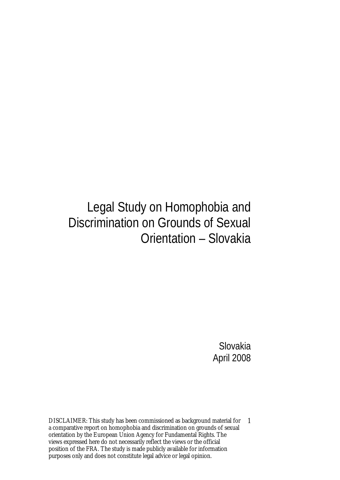## Legal Study on Homophobia and Discrimination on Grounds of Sexual Orientation – Slovakia

Slovakia April 2008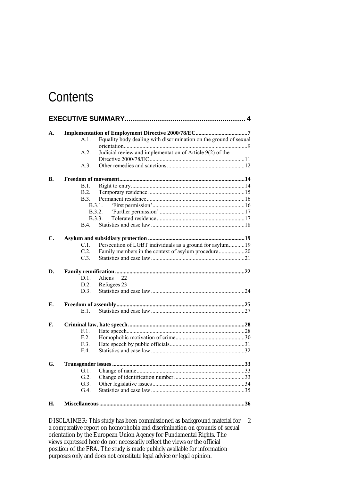### **Contents**

| A. | A.1.    | Equality body dealing with discrimination on the ground of sexual<br>Judicial review and implementation of Article 9(2) of the<br>A.2.<br>A.3.<br>B.1.<br>B.2.<br>B.3.<br>B.3.1.<br><b>B.3.2.</b><br><b>B.3.3.</b><br>B.4<br>Persecution of LGBT individuals as a ground for asylum19<br>C.L.<br>C.2<br>Family members in the context of asylum procedure20<br>C.3.<br>Aliens<br>$D.1$ .<br>22<br>Refugees 23<br>D.2.<br>$D.3$ .<br>E.1.<br>F.1.<br>F.2.<br>F.3.<br>F.4 |  |  |  |  |
|----|---------|-------------------------------------------------------------------------------------------------------------------------------------------------------------------------------------------------------------------------------------------------------------------------------------------------------------------------------------------------------------------------------------------------------------------------------------------------------------------------|--|--|--|--|
|    |         |                                                                                                                                                                                                                                                                                                                                                                                                                                                                         |  |  |  |  |
|    |         |                                                                                                                                                                                                                                                                                                                                                                                                                                                                         |  |  |  |  |
|    |         |                                                                                                                                                                                                                                                                                                                                                                                                                                                                         |  |  |  |  |
| В. |         |                                                                                                                                                                                                                                                                                                                                                                                                                                                                         |  |  |  |  |
|    |         |                                                                                                                                                                                                                                                                                                                                                                                                                                                                         |  |  |  |  |
|    |         |                                                                                                                                                                                                                                                                                                                                                                                                                                                                         |  |  |  |  |
|    |         |                                                                                                                                                                                                                                                                                                                                                                                                                                                                         |  |  |  |  |
|    |         |                                                                                                                                                                                                                                                                                                                                                                                                                                                                         |  |  |  |  |
|    |         |                                                                                                                                                                                                                                                                                                                                                                                                                                                                         |  |  |  |  |
|    |         |                                                                                                                                                                                                                                                                                                                                                                                                                                                                         |  |  |  |  |
|    |         |                                                                                                                                                                                                                                                                                                                                                                                                                                                                         |  |  |  |  |
| C. |         |                                                                                                                                                                                                                                                                                                                                                                                                                                                                         |  |  |  |  |
|    |         |                                                                                                                                                                                                                                                                                                                                                                                                                                                                         |  |  |  |  |
|    |         |                                                                                                                                                                                                                                                                                                                                                                                                                                                                         |  |  |  |  |
|    |         |                                                                                                                                                                                                                                                                                                                                                                                                                                                                         |  |  |  |  |
| D. |         |                                                                                                                                                                                                                                                                                                                                                                                                                                                                         |  |  |  |  |
|    |         |                                                                                                                                                                                                                                                                                                                                                                                                                                                                         |  |  |  |  |
|    |         |                                                                                                                                                                                                                                                                                                                                                                                                                                                                         |  |  |  |  |
|    |         |                                                                                                                                                                                                                                                                                                                                                                                                                                                                         |  |  |  |  |
| Е. |         |                                                                                                                                                                                                                                                                                                                                                                                                                                                                         |  |  |  |  |
|    |         |                                                                                                                                                                                                                                                                                                                                                                                                                                                                         |  |  |  |  |
| F. |         |                                                                                                                                                                                                                                                                                                                                                                                                                                                                         |  |  |  |  |
|    |         |                                                                                                                                                                                                                                                                                                                                                                                                                                                                         |  |  |  |  |
|    |         |                                                                                                                                                                                                                                                                                                                                                                                                                                                                         |  |  |  |  |
|    |         |                                                                                                                                                                                                                                                                                                                                                                                                                                                                         |  |  |  |  |
|    |         |                                                                                                                                                                                                                                                                                                                                                                                                                                                                         |  |  |  |  |
| G. |         |                                                                                                                                                                                                                                                                                                                                                                                                                                                                         |  |  |  |  |
|    | G.1.    |                                                                                                                                                                                                                                                                                                                                                                                                                                                                         |  |  |  |  |
|    | G.2.    |                                                                                                                                                                                                                                                                                                                                                                                                                                                                         |  |  |  |  |
|    | $G.3$ . |                                                                                                                                                                                                                                                                                                                                                                                                                                                                         |  |  |  |  |
|    | G.4     |                                                                                                                                                                                                                                                                                                                                                                                                                                                                         |  |  |  |  |
| Н. |         |                                                                                                                                                                                                                                                                                                                                                                                                                                                                         |  |  |  |  |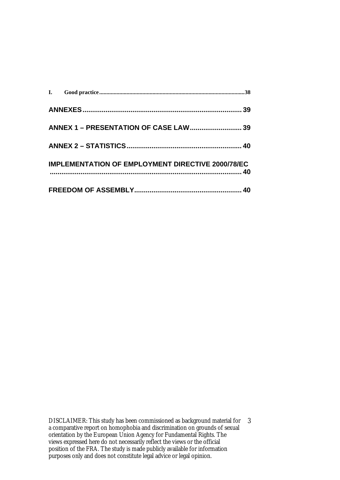| <b>ANNEX 1 - PRESENTATION OF CASE LAW 39</b>             |  |
|----------------------------------------------------------|--|
|                                                          |  |
| <b>IMPLEMENTATION OF EMPLOYMENT DIRECTIVE 2000/78/EC</b> |  |
|                                                          |  |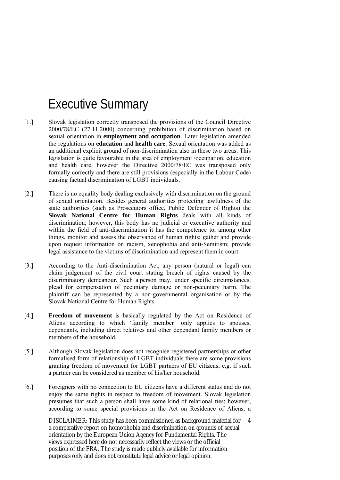## Executive Summary

- [1.] Slovak legislation correctly transposed the provisions of the Council Directive 2000/78/EC (27.11.2000) concerning prohibition of discrimination based on sexual orientation in **employment and occupation**. Later legislation amended the regulations on **education** and **health care**. Sexual orientation was added as an additional explicit ground of non-discrimination also in these two areas. This legislation is quite favourable in the area of employment /occupation, education and health care, however the Directive 2000/78/EC was transposed only formally correctly and there are still provisions (especially in the Labour Code) causing factual discrimination of LGBT individuals.
- [2.] There is no equality body dealing exclusively with discrimination on the ground of sexual orientation. Besides general authorities protecting lawfulness of the state authorities (such as Prosecutors office, Public Defender of Rights) the **Slovak National Centre for Human Rights** deals with all kinds of discrimination; however, this body has no judicial or executive authority and within the field of anti-discrimination it has the competence to, among other things, monitor and assess the observance of human rights; gather and provide upon request information on racism, xenophobia and anti-Semitism; provide legal assistance to the victims of discrimination and represent them in court.
- [3.] According to the Anti-discrimination Act, any person (natural or legal) can claim judgement of the civil court stating breach of rights caused by the discriminatory demeanour. Such a person may, under specific circumstances, plead for compensation of pecuniary damage or non-pecuniary harm. The plaintiff can be represented by a non-governmental organisation or by the Slovak National Centre for Human Rights.
- [4.] **Freedom of movement** is basically regulated by the Act on Residence of Aliens according to which 'family member' only applies to spouses, dependants, including direct relatives and other dependant family members or members of the household.
- [5.] Although Slovak legislation does not recognise registered partnerships or other formalised form of relationship of LGBT individuals there are some provisions granting freedom of movement for LGBT partners of EU citizens, e.g. if such a partner can be considered as member of his/her household.
- [6.] Foreigners with no connection to EU citizens have a different status and do not enjoy the same rights in respect to freedom of movement. Slovak legislation presumes that such a person shall have some kind of relational ties; however, according to some special provisions in the Act on Residence of Aliens, a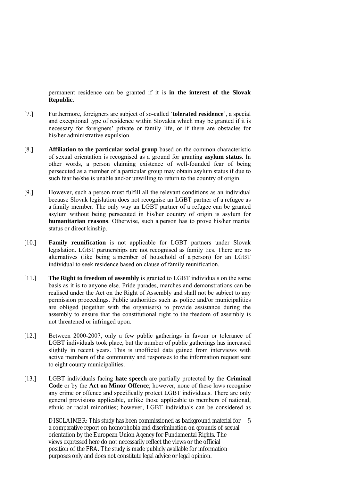permanent residence can be granted if it is **in the interest of the Slovak Republic**.

- [7.] Furthermore, foreigners are subject of so-called '**tolerated residence**', a special and exceptional type of residence within Slovakia which may be granted if it is necessary for foreigners' private or family life, or if there are obstacles for his/her administrative expulsion.
- [8.] **Affiliation to the particular social group** based on the common characteristic of sexual orientation is recognised as a ground for granting **asylum status**. In other words, a person claiming existence of well-founded fear of being persecuted as a member of a particular group may obtain asylum status if due to such fear he/she is unable and/or unwilling to return to the country of origin.
- [9.] However, such a person must fulfill all the relevant conditions as an individual because Slovak legislation does not recognise an LGBT partner of a refugee as a family member. The only way an LGBT partner of a refugee can be granted asylum without being persecuted in his/her country of origin is asylum for **humanitarian reasons**. Otherwise, such a person has to prove his/her marital status or direct kinship.
- [10.] **Family reunification** is not applicable for LGBT partners under Slovak legislation. LGBT partnerships are not recognised as family ties. There are no alternatives (like being a member of household of a person) for an LGBT individual to seek residence based on clause of family reunification.
- [11.] **The Right to freedom of assembly** is granted to LGBT individuals on the same basis as it is to anyone else. Pride parades, marches and demonstrations can be realised under the Act on the Right of Assembly and shall not be subject to any permission proceedings. Public authorities such as police and/or municipalities are obliged (together with the organisers) to provide assistance during the assembly to ensure that the constitutional right to the freedom of assembly is not threatened or infringed upon.
- [12.] Between 2000-2007, only a few public gatherings in favour or tolerance of LGBT individuals took place, but the number of public gatherings has increased slightly in recent years. This is unofficial data gained from interviews with active members of the community and responses to the information request sent to eight county municipalities.
- [13.] LGBT individuals facing **hate speech** are partially protected by the **Criminal Code** or by the **Act on Minor Offence**; however, none of these laws recognise any crime or offence and specifically protect LGBT individuals. There are only general provisions applicable, unlike those applicable to members of national, ethnic or racial minorities; however, LGBT individuals can be considered as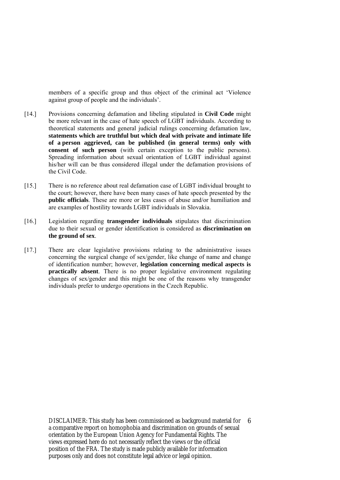members of a specific group and thus object of the criminal act 'Violence against group of people and the individuals'.

- [14.] Provisions concerning defamation and libeling stipulated in **Civil Code** might be more relevant in the case of hate speech of LGBT individuals. According to theoretical statements and general judicial rulings concerning defamation law, **statements which are truthful but which deal with private and intimate life of a person aggrieved, can be published (in general terms) only with consent of such person** (with certain exception to the public persons). Spreading information about sexual orientation of LGBT individual against his/her will can be thus considered illegal under the defamation provisions of the Civil Code.
- [15.] There is no reference about real defamation case of LGBT individual brought to the court; however, there have been many cases of hate speech presented by the **public officials**. These are more or less cases of abuse and/or humiliation and are examples of hostility towards LGBT individuals in Slovakia.
- [16.] Legislation regarding **transgender individuals** stipulates that discrimination due to their sexual or gender identification is considered as **discrimination on the ground of sex**.
- [17.] There are clear legislative provisions relating to the administrative issues concerning the surgical change of sex/gender, like change of name and change of identification number; however, **legislation concerning medical aspects is practically absent**. There is no proper legislative environment regulating changes of sex/gender and this might be one of the reasons why transgender individuals prefer to undergo operations in the Czech Republic.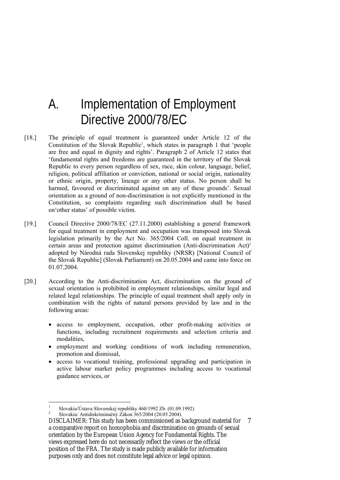### A. Implementation of Employment Directive 2000/78/EC

- [18.] The principle of equal treatment is guaranteed under Article 12 of the Constitution of the Slovak Republic<sup>1</sup>, which states in paragraph 1 that 'people are free and equal in dignity and rights'. Paragraph 2 of Article 12 states that 'fundamental rights and freedoms are guaranteed in the territory of the Slovak Republic to every person regardless of sex, race, skin colour, language, belief, religion, political affiliation or conviction, national or social origin, nationality or ethnic origin, property, lineage or any other status. No person shall be harmed, favoured or discriminated against on any of these grounds'. Sexual orientation as a ground of non-discrimination is not explicitly mentioned in the Constitution, so complaints regarding such discrimination shall be based on'other status' of possible victim.
- [19.] Council Directive 2000/78/EC (27.11.2000) establishing a general framework for equal treatment in employment and occupation was transposed into Slovak legislation primarily by the Act No. 365/2004 Coll. on equal treatment in certain areas and protection against discrimination (Anti-discrimination Act)2 adopted by Národná rada Slovenskej republiky (NRSR) [National Council of the Slovak Republic] (Slovak Parliament) on 20.05.2004 and came into force on 01.07.2004.
- [20.] According to the Anti-discrimination Act, discrimination on the ground of sexual orientation is prohibited in employment relationships, similar legal and related legal relationships. The principle of equal treatment shall apply only in combination with the rights of natural persons provided by law and in the following areas:
	- access to employment, occupation, other profit-making activities or functions, including recruitment requirements and selection criteria and modalities,
	- employment and working conditions of work including remuneration, promotion and dismissal,
	- access to vocational training, professional upgrading and participation in active labour market policy programmes including access to vocational guidance services, or

<u>.</u>

<sup>1</sup> Slovakia/Ústava Slovenskej republiky 460/1992 Zb. (01.09.1992)

<sup>2</sup> Slovakia/ Antidiskriminačný Zákon 365/2004 (20.05.2004).

DISCLAIMER: This study has been commissioned as background material for 7 a comparative report on homophobia and discrimination on grounds of sexual orientation by the European Union Agency for Fundamental Rights. The views expressed here do not necessarily reflect the views or the official position of the FRA. The study is made publicly available for information purposes only and does not constitute legal advice or legal opinion.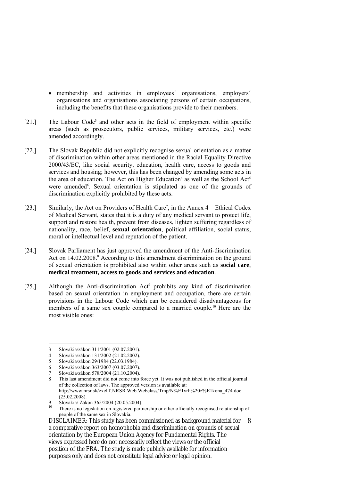- membership and activities in employees´ organisations, employers´ organisations and organisations associating persons of certain occupations, including the benefits that these organisations provide to their members.
- [21.] The Labour Code<sup>3</sup> and other acts in the field of employment within specific areas (such as prosecutors, public services, military services, etc.) were amended accordingly.
- [22.] The Slovak Republic did not explicitly recognise sexual orientation as a matter of discrimination within other areas mentioned in the Racial Equality Directive 2000/43/EC, like social security, education, health care, access to goods and services and housing; however, this has been changed by amending some acts in the area of education. The Act on Higher Education<sup>4</sup> as well as the School Act<sup>5</sup> were amended<sup>6</sup>. Sexual orientation is stipulated as one of the grounds of discrimination explicitly prohibited by these acts.
- [23.] Similarly, the Act on Providers of Health Care<sup>7</sup>, in the Annex 4 Ethical Codex of Medical Servant, states that it is a duty of any medical servant to protect life, support and restore health, prevent from diseases, lighten suffering regardless of nationality, race, belief, **sexual orientation**, political affiliation, social status, moral or intellectual level and reputation of the patient.
- [24.] Slovak Parliament has just approved the amendment of the Anti-discrimination Act on 14.02.2008.<sup>8</sup> According to this amendment discrimination on the ground of sexual orientation is prohibited also within other areas such as **social care**, **medical treatment, access to goods and services and education**.
- [25.] Although the Anti-discrimination Act<sup>9</sup> prohibits any kind of discrimination based on sexual orientation in employment and occupation, there are certain provisions in the Labour Code which can be considered disadvantageous for members of a same sex couple compared to a married couple.<sup>10</sup> Here are the most visible ones:

<u>.</u>

<sup>3</sup> Slovakia/zákon 311/2001 (02.07.2001).

<sup>4</sup> Slovakia/zákon 131/2002 (21.02.2002).

<sup>5</sup> Slovakia/zákon 29/1984 (22.03.1984).

<sup>6</sup> Slovakia/zákon 363/2007 (03.07.2007).

<sup>7</sup> Slovakia/zákon 578/2004 (21.10.2004).

<sup>8</sup> This last amendment did not come into force yet. It was not published in the official journal of the collection of laws. The approved version is available at: http://www.nrsr.sk/exeIT.NRSR.Web.Webclass/Tmp/N%E1vrh%20z%E1kona\_474.doc  $(25.02.2008).$ 

<sup>9</sup> Slovakia/ Zákon 365/2004 (20.05.2004).

There is no legislation on registered partnership or other officially recognised relationship of people of the same sex in Slovakia.

DISCLAIMER: This study has been commissioned as background material for a comparative report on homophobia and discrimination on grounds of sexual orientation by the European Union Agency for Fundamental Rights. The views expressed here do not necessarily reflect the views or the official position of the FRA. The study is made publicly available for information purposes only and does not constitute legal advice or legal opinion. 8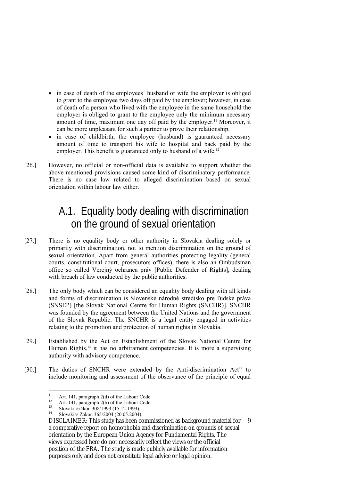- in case of death of the employees' husband or wife the employer is obliged to grant to the employee two days off paid by the employer; however, in case of death of a person who lived with the employee in the same household the employer is obliged to grant to the employee only the minimum necessary amount of time, maximum one day off paid by the employer.<sup>11</sup> Moreover, it can be more unpleasant for such a partner to prove their relationship.
- in case of childbirth, the employee (husband) is guaranteed necessary amount of time to transport his wife to hospital and back paid by the employer. This benefit is guaranteed only to husband of a wife.<sup>12</sup>
- [26.] However, no official or non-official data is available to support whether the above mentioned provisions caused some kind of discriminatory performance. There is no case law related to alleged discrimination based on sexual orientation within labour law either.

### A.1. Equality body dealing with discrimination on the ground of sexual orientation

- [27.] There is no equality body or other authority in Slovakia dealing solely or primarily with discrimination, not to mention discrimination on the ground of sexual orientation. Apart from general authorities protecting legality (general courts, constitutional court, prosecutors offices), there is also an Ombudsman office so called Verejný ochranca práv [Public Defender of Rights], dealing with breach of law conducted by the public authorities.
- [28.] The only body which can be considered an equality body dealing with all kinds and forms of discrimination is Slovenské národné stredisko pre ľudské práva (SNSĽP) [the Slovak National Centre for Human Rights (SNCHR)]. SNCHR was founded by the agreement between the United Nations and the government of the Slovak Republic. The SNCHR is a legal entity engaged in activities relating to the promotion and protection of human rights in Slovakia.
- [29.] Established by the Act on Establishment of the Slovak National Centre for Human Rights,<sup>13</sup> it has no arbitrament competencies. It is more a supervising authority with advisory competence.
- [30.] The duties of SNCHR were extended by the Anti-discrimination Act<sup>14</sup> to include monitoring and assessment of the observance of the principle of equal

 $11$ <sup>11</sup> Art. 141, paragraph 2(d) of the Labour Code.

<sup>&</sup>lt;sup>12</sup> Art. 141, paragraph 2(b) of the Labour Code.

<sup>&</sup>lt;sup>13</sup> Slovakia/zákon 308/1993 (15.12.1993).<br><sup>14</sup> Slovakia/Zákon 365/2004 (20.05.2004)

<sup>14</sup> Slovakia/ Zákon 365/2004 (20.05.2004).

DISCLAIMER: This study has been commissioned as background material for a comparative report on homophobia and discrimination on grounds of sexual orientation by the European Union Agency for Fundamental Rights. The views expressed here do not necessarily reflect the views or the official position of the FRA. The study is made publicly available for information purposes only and does not constitute legal advice or legal opinion. 9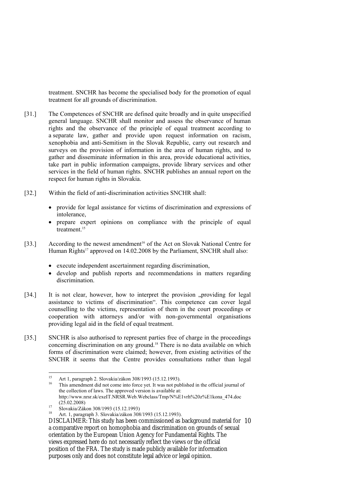treatment. SNCHR has become the specialised body for the promotion of equal treatment for all grounds of discrimination.

- [31.] The Competences of SNCHR are defined quite broadly and in quite unspecified general language. SNCHR shall monitor and assess the observance of human rights and the observance of the principle of equal treatment according to a separate law, gather and provide upon request information on racism, xenophobia and anti-Semitism in the Slovak Republic, carry out research and surveys on the provision of information in the area of human rights, and to gather and disseminate information in this area, provide educational activities, take part in public information campaigns, provide library services and other services in the field of human rights. SNCHR publishes an annual report on the respect for human rights in Slovakia.
- [32.] Within the field of anti-discrimination activities SNCHR shall:
	- provide for legal assistance for victims of discrimination and expressions of intolerance,
	- prepare expert opinions on compliance with the principle of equal treatment<sup>15</sup>
- [33.] According to the newest amendment<sup>16</sup> of the Act on Slovak National Centre for Human Rights<sup>17</sup> approved on 14.02.2008 by the Parliament, SNCHR shall also:
	- execute independent ascertainment regarding discrimination,
	- develop and publish reports and recommendations in matters regarding discrimination.
- [34.] It is not clear, however, how to interpret the provision "providing for legal assistance to victims of discrimination". This competence can cover legal counselling to the victims, representation of them in the court proceedings or cooperation with attorneys and/or with non-governmental organisations providing legal aid in the field of equal treatment.
- [35.] SNCHR is also authorised to represent parties free of charge in the proceedings concerning discrimination on any ground.<sup>18</sup> There is no data available on which forms of discrimination were claimed; however, from existing activities of the SNCHR it seems that the Centre provides consultations rather than legal

 $15$ <sup>15</sup> Art 1, paragraph 2. Slovakia/zákon 308/1993 (15.12.1993).

This amendment did not come into force yet. It was not published in the official journal of the collection of laws. The approved version is available at: http://www.nrsr.sk/exeIT.NRSR.Web.Webclass/Tmp/N%E1vrh%20z%E1kona\_474.doc  $(25.02.2008)$ <br>
Slovakia/Zákon 308/1993 (15.12.1993)<br>
Art 1 september 2 Slovakia/zákon 208

<sup>18</sup> Art. 1, paragraph 3. Slovakia/zákon 308/1993 (15.12.1993).

DISCLAIMER: This study has been commissioned as background material for 10 a comparative report on homophobia and discrimination on grounds of sexual orientation by the European Union Agency for Fundamental Rights. The views expressed here do not necessarily reflect the views or the official position of the FRA. The study is made publicly available for information purposes only and does not constitute legal advice or legal opinion.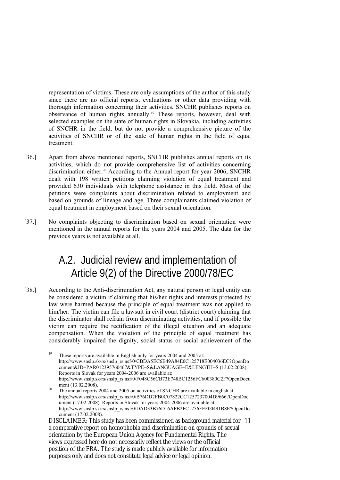representation of victims. These are only assumptions of the author of this study since there are no official reports, evaluations or other data providing with thorough information concerning their activities. SNCHR publishes reports on observance of human rights annually.19 These reports, however, deal with selected examples on the state of human rights in Slovakia, including activities of SNCHR in the field, but do not provide a comprehensive picture of the activities of SNCHR or of the state of human rights in the field of equal treatment.

- [36.] Apart from above mentioned reports, SNCHR publishes annual reports on its activities, which do not provide comprehensive list of activities concerning discrimination either.<sup>20</sup> According to the Annual report for year 2006, SNCHR dealt with 198 written petitions claiming violation of equal treatment and provided 630 individuals with telephone assistance in this field. Most of the petitions were complaints about discrimination related to employment and based on grounds of lineage and age. Three complainants claimed violation of equal treatment in employment based on their sexual orientation.
- [37.] No complaints objecting to discrimination based on sexual orientation were mentioned in the annual reports for the years 2004 and 2005. The data for the previous years is not available at all.

### A.2. Judicial review and implementation of Article 9(2) of the Directive 2000/78/EC

[38.] According to the Anti-discrimination Act, any natural person or legal entity can be considered a victim if claiming that his/her rights and interests protected by law were harmed because the principle of equal treatment was not applied to him/her. The victim can file a lawsuit in civil court (district court) claiming that the discriminator shall refrain from discriminating activities, and if possible the victim can require the rectification of the illegal situation and an adequate compensation. When the violation of the principle of equal treatment has considerably impaired the dignity, social status or social achievement of the

<sup>19</sup> These reports are available in English only for years 2004 and 2005 at: http://www.snslp.sk/rs/snslp\_rs.nsf/0/CBDA5EC6B49A84E0C125718E004036EC?OpenDo cument&ID=PAR012395760467&TYPE=S&LANGUAGE=E&LENGTH=S (13.02.2008). Reports in Slovak for years 2004-2006 are available at: http://www.snslp.sk/rs/snslp\_rs.nsf/0/F048C56CB73E748BC1256FC600380C2F?OpenDocu

ment (13.02.2008). 20 The annual reports 2004 and 2005 on activities of SNCHR are available in english at: http://www.snslp.sk/rs/snslp\_rs.nsf/0/B76DD2FB0C07822CC1257237004D9666?OpenDoc ument (17.02.2008). Reports in Slovak for years 2004-2006 are available at: http://www.snslp.sk/rs/snslp\_rs.nsf/0/DAD33B76D16AFB2FC1256FEF00491B8E?OpenDo cument (17.02.2008).

DISCLAIMER: This study has been commissioned as background material for 11 a comparative report on homophobia and discrimination on grounds of sexual orientation by the European Union Agency for Fundamental Rights. The views expressed here do not necessarily reflect the views or the official position of the FRA. The study is made publicly available for information purposes only and does not constitute legal advice or legal opinion.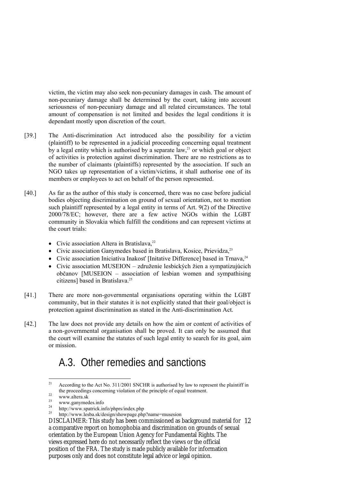victim, the victim may also seek non-pecuniary damages in cash. The amount of non-pecuniary damage shall be determined by the court, taking into account seriousness of non-pecuniary damage and all related circumstances. The total amount of compensation is not limited and besides the legal conditions it is dependant mostly upon discretion of the court.

- [39.] The Anti-discrimination Act introduced also the possibility for a victim (plaintiff) to be represented in a judicial proceeding concerning equal treatment by a legal entity which is authorised by a separate law, $21$  or which goal or object of activities is protection against discrimination. There are no restrictions as to the number of claimants (plaintiffs) represented by the association. If such an NGO takes up representation of a victim/victims, it shall authorise one of its members or employees to act on behalf of the person represented.
- [40.] As far as the author of this study is concerned, there was no case before judicial bodies objecting discrimination on ground of sexual orientation, not to mention such plaintiff represented by a legal entity in terms of Art. 9(2) of the Directive 2000/78/EC; however, there are a few active NGOs within the LGBT community in Slovakia which fulfill the conditions and can represent victims at the court trials:
	- Civic association Altera in Bratislava, $^{22}$
	- Civic association Ganymedes based in Bratislava, Kosice, Prievidza,<sup>23</sup>
	- Civic association Iniciativa Inakosť [Initative Difference] based in Trnava,<sup>24</sup>
	- Civic association MUSEION združenie lesbických žien a sympatizujúcich občanov [MUSEION – association of lesbian women and sympathising citizens] based in Bratislava.<sup>25</sup>
- [41.] There are more non-governmental organisations operating within the LGBT community, but in their statutes it is not explicitly stated that their goal/object is protection against discrimination as stated in the Anti-discrimination Act.
- [42.] The law does not provide any details on how the aim or content of activities of a non-governmental organisation shall be proved. It can only be assumed that the court will examine the statutes of such legal entity to search for its goal, aim or mission.

### A.3. Other remedies and sanctions

 $21$ 21 According to the Act No. 311/2001 SNCHR is authorised by law to represent the plaintiff in the proceedings concerning violation of the principle of equal treatment.<br>  $\frac{22}{23}$ 

 $\frac{23}{24}$  www.ganymedes.info

<sup>&</sup>lt;sup>24</sup> http://www.spatrick.info/phprs/index.php<br> $\frac{25}{25}$  http://www.spatrick.info/phprs/index.php

<sup>25</sup> http://www.lesba.sk/design/showpage.php?name=musesion

DISCLAIMER: This study has been commissioned as background material for 12 a comparative report on homophobia and discrimination on grounds of sexual orientation by the European Union Agency for Fundamental Rights. The views expressed here do not necessarily reflect the views or the official position of the FRA. The study is made publicly available for information purposes only and does not constitute legal advice or legal opinion.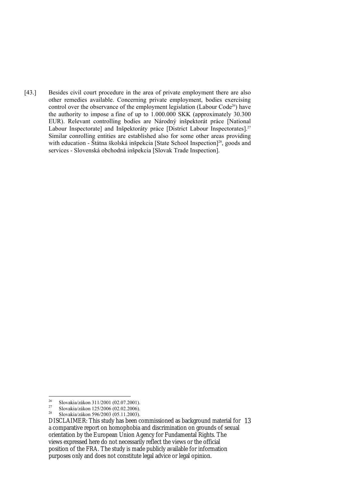[43.] Besides civil court procedure in the area of private employment there are also other remedies available. Concerning private employment, bodies exercising control over the observance of the employment legislation (Labour Code<sup>26</sup>) have the authority to impose a fine of up to 1.000.000 SKK (approximately 30.300 EUR). Relevant controlling bodies are Národný inšpektorát práce [National Labour Inspectorate] and Inšpektoráty práce [District Labour Inspectorates].<sup>27</sup> Similar conrolling entities are established also for some other areas providing with education - Štátna školská inšpekcia [State School Inspection]<sup>28</sup>, goods and services - Slovenská obchodná inšpekcia [Slovak Trade Inspection].

<sup>26</sup> <sup>26</sup> Slovakia/zákon 311/2001 (02.07.2001).

<sup>&</sup>lt;sup>27</sup> Slovakia/zákon 125/2006 (02.02.2006).<br><sup>28</sup> Slovakia/zákon 506/2002 (05.11.2002).

<sup>28</sup> Slovakia/zákon 596/2003 (05.11.2003).

DISCLAIMER: This study has been commissioned as background material for 13 a comparative report on homophobia and discrimination on grounds of sexual orientation by the European Union Agency for Fundamental Rights. The views expressed here do not necessarily reflect the views or the official position of the FRA. The study is made publicly available for information purposes only and does not constitute legal advice or legal opinion.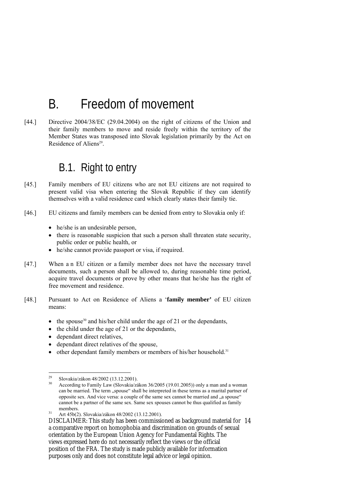# B. Freedom of movement

[44.] Directive 2004/38/EC (29.04.2004) on the right of citizens of the Union and their family members to move and reside freely within the territory of the Member States was transposed into Slovak legislation primarily by the Act on Residence of Aliens<sup>29</sup>.

### B.1. Right to entry

- [45.] Family members of EU citizens who are not EU citizens are not required to present valid visa when entering the Slovak Republic if they can identify themselves with a valid residence card which clearly states their family tie.
- [46.] EU citizens and family members can be denied from entry to Slovakia only if:
	- he/she is an undesirable person,
	- there is reasonable suspicion that such a person shall threaten state security, public order or public health, or
	- he/she cannot provide passport or visa, if required.
- [47.] When a n EU citizen or a family member does not have the necessary travel documents, such a person shall be allowed to, during reasonable time period, acquire travel documents or prove by other means that he/she has the right of free movement and residence.
- [48.] Pursuant to Act on Residence of Aliens a '**family member'** of EU citizen means:
	- the spouse<sup>30</sup> and his/her child under the age of 21 or the dependants,
	- the child under the age of 21 or the dependants,
	- dependant direct relatives,
	- dependant direct relatives of the spouse,
	- other dependant family members or members of his/her household.<sup>31</sup>

 $29$ <sup>29</sup> Slovakia/zákon 48/2002 (13.12.2001).

<sup>30</sup> According to Family Law (Slovakia/zákon 36/2005 (19.01.2005)) only a man and a woman can be married. The term "spouse" shall be interpreted in these terms as a marital partner of opposite sex. And vice versa: a couple of the same sex cannot be married and  $\alpha$  a spouse" cannot be a partner of the same sex. Same sex spouses cannot be thus qualified as family members.<br><sup>31</sup> Art 45b(2). Slovakia/zákon 48/2002 (13.12.2001).

DISCLAIMER: This study has been commissioned as background material for 14 a comparative report on homophobia and discrimination on grounds of sexual orientation by the European Union Agency for Fundamental Rights. The views expressed here do not necessarily reflect the views or the official position of the FRA. The study is made publicly available for information purposes only and does not constitute legal advice or legal opinion.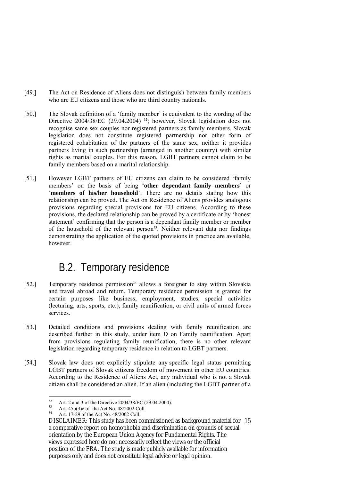- [49.] The Act on Residence of Aliens does not distinguish between family members who are EU citizens and those who are third country nationals.
- [50.] The Slovak definition of a 'family member' is equivalent to the wording of the Directive 2004/38/EC (29.04.2004)<sup>32</sup>; however, Slovak legislation does not recognise same sex couples nor registered partners as family members. Slovak legislation does not constitute registered partnership nor other form of registered cohabitation of the partners of the same sex, neither it provides partners living in such partnership (arranged in another country) with similar rights as marital couples. For this reason, LGBT partners cannot claim to be family members based on a marital relationship.
- [51.] However LGBT partners of EU citizens can claim to be considered 'family members' on the basis of being '**other dependant family members**' or '**members of his/her household**'. There are no details stating how this relationship can be proved. The Act on Residence of Aliens provides analogous provisions regarding special provisions for EU citizens. According to these provisions, the declared relationship can be proved by a certificate or by 'honest statement' confirming that the person is a dependant family member or member of the household of the relevant person<sup>33</sup>. Neither relevant data nor findings demonstrating the application of the quoted provisions in practice are available, however.

### B.2. Temporary residence

- [52.] Temporary residence permission<sup>34</sup> allows a foreigner to stay within Slovakia and travel abroad and return. Temporary residence permission is granted for certain purposes like business, employment, studies, special activities (lecturing, arts, sports, etc.), family reunification, or civil units of armed forces services.
- [53.] Detailed conditions and provisions dealing with family reunification are described further in this study, under item D on Family reunification. Apart from provisions regulating family reunification, there is no other relevant legislation regarding temporary residence in relation to LGBT partners.
- [54.] Slovak law does not explicitly stipulate any specific legal status permitting LGBT partners of Slovak citizens freedom of movement in other EU countries. According to the Residence of Aliens Act, any individual who is not a Slovak citizen shall be considered an alien. If an alien (including the LGBT partner of a

 $32$ <sup>32</sup> Art. 2 and 3 of the Directive 2004/38/EC (29.04.2004).

<sup>&</sup>lt;sup>33</sup> Art. 45b(3)c of the Act No. 48/2002 Coll.<br><sup>34</sup> Art. 17.20 of the Act No. 48/2002 Coll.

Art. 17-29 of the Act No. 48/2002 Coll.

DISCLAIMER: This study has been commissioned as background material for 15 a comparative report on homophobia and discrimination on grounds of sexual orientation by the European Union Agency for Fundamental Rights. The views expressed here do not necessarily reflect the views or the official position of the FRA. The study is made publicly available for information purposes only and does not constitute legal advice or legal opinion.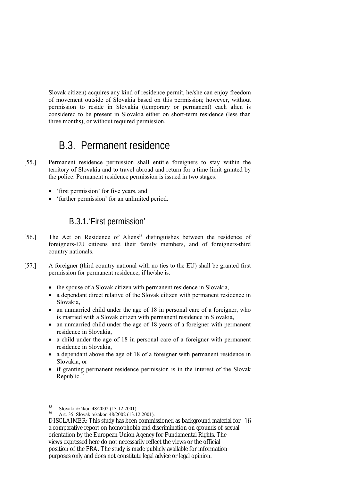Slovak citizen) acquires any kind of residence permit, he/she can enjoy freedom of movement outside of Slovakia based on this permission; however, without permission to reside in Slovakia (temporary or permanent) each alien is considered to be present in Slovakia either on short-term residence (less than three months), or without required permission.

### B.3. Permanent residence

- [55.] Permanent residence permission shall entitle foreigners to stay within the territory of Slovakia and to travel abroad and return for a time limit granted by the police. Permanent residence permission is issued in two stages:
	- 'first permission' for five years, and
	- 'further permission' for an unlimited period.

#### B.3.1.'First permission'

- [56.] The Act on Residence of Aliens<sup>35</sup> distinguishes between the residence of foreigners-EU citizens and their family members, and of foreigners-third country nationals.
- [57.] A foreigner (third country national with no ties to the EU) shall be granted first permission for permanent residence, if he/she is:
	- the spouse of a Slovak citizen with permanent residence in Slovakia,
	- a dependant direct relative of the Slovak citizen with permanent residence in Slovakia,
	- an unmarried child under the age of 18 in personal care of a foreigner, who is married with a Slovak citizen with permanent residence in Slovakia,
	- an unmarried child under the age of 18 years of a foreigner with permanent residence in Slovakia,
	- a child under the age of 18 in personal care of a foreigner with permanent residence in Slovakia,
	- a dependant above the age of 18 of a foreigner with permanent residence in Slovakia, or
	- if granting permanent residence permission is in the interest of the Slovak Republic.36

 $35$ <sup>35</sup> Slovakia/zákon 48/2002 (13.12.2001)

<sup>36</sup> Art. 35. Slovakia/zákon 48/2002 (13.12.2001).

DISCLAIMER: This study has been commissioned as background material for 16 a comparative report on homophobia and discrimination on grounds of sexual orientation by the European Union Agency for Fundamental Rights. The views expressed here do not necessarily reflect the views or the official position of the FRA. The study is made publicly available for information purposes only and does not constitute legal advice or legal opinion.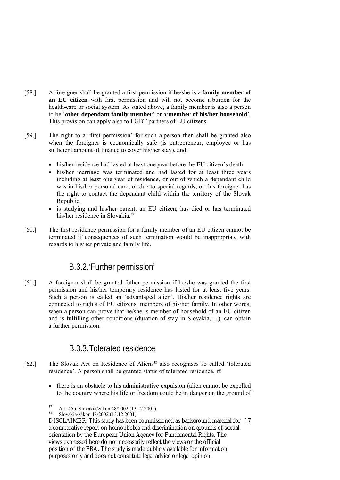- [58.] A foreigner shall be granted a first permission if he/she is a **family member of an EU citizen** with first permission and will not become a burden for the health-care or social system. As stated above, a family member is also a person to be '**other dependant family member**' or a'**member of his/her household**'. This provision can apply also to LGBT partners of EU citizens.
- [59.] The right to a 'first permission' for such a person then shall be granted also when the foreigner is economically safe (is entrepreneur, employee or has sufficient amount of finance to cover his/her stay), and:
	- his/her residence had lasted at least one year before the EU citizen's death
	- his/her marriage was terminated and had lasted for at least three years including at least one year of residence, or out of which a dependant child was in his/her personal care, or due to special regards, or this foreigner has the right to contact the dependant child within the territory of the Slovak Republic,
	- is studying and his/her parent, an EU citizen, has died or has terminated his/her residence in Slovakia.<sup>37</sup>
- [60.] The first residence permission for a family member of an EU citizen cannot be terminated if consequences of such termination would be inappropriate with regards to his/her private and family life.

#### B.3.2.'Further permission'

[61.] A foreigner shall be granted futher permission if he/she was granted the first permission and his/her temporary residence has lasted for at least five years. Such a person is called an 'advantaged alien'. His/her residence rights are connected to rights of EU citizens, members of his/her family. In other words, when a person can prove that he/she is member of household of an EU citizen and is fulfilling other conditions (duration of stay in Slovakia, ...), can obtain a further permission.

#### B.3.3.Tolerated residence

- [62.] The Slovak Act on Residence of Aliens<sup>38</sup> also recognises so called 'tolerated residence'. A person shall be granted status of tolerated residence, if:
	- there is an obstacle to his administrative expulsion (alien cannot be expelled to the country where his life or freedom could be in danger on the ground of

 $37$ <sup>37</sup> Art. 45b. Slovakia/zákon 48/2002 (13.12.2001)..

<sup>38</sup> Slovakia/zákon 48/2002 (13.12.2001)

DISCLAIMER: This study has been commissioned as background material for 17 a comparative report on homophobia and discrimination on grounds of sexual orientation by the European Union Agency for Fundamental Rights. The views expressed here do not necessarily reflect the views or the official position of the FRA. The study is made publicly available for information purposes only and does not constitute legal advice or legal opinion.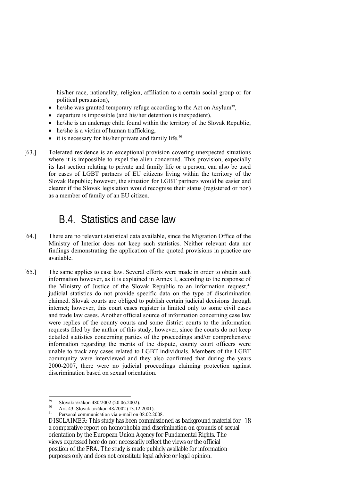his/her race, nationality, religion, affiliation to a certain social group or for political persuasion),

- he/she was granted temporary refuge according to the Act on Asylum<sup>39</sup>,
- departure is impossible (and his/her detention is inexpedient),
- he/she is an underage child found within the territory of the Slovak Republic,
- he/she is a victim of human trafficking,
- $\bullet$  it is necessary for his/her private and family life.<sup>40</sup>
- [63.] Tolerated residence is an exceptional provision covering unexpected situations where it is impossible to expel the alien concerned. This provision, expecially its last section relating to private and family life or a person, can also be used for cases of LGBT partners of EU citizens living within the territory of the Slovak Republic; however, the situation for LGBT partners would be easier and clearer if the Slovak legislation would recognise their status (registered or non) as a member of family of an EU citizen.

### B.4. Statistics and case law

- [64.] There are no relevant statistical data available, since the Migration Office of the Ministry of Interior does not keep such statistics. Neither relevant data nor findings demonstrating the application of the quoted provisions in practice are available.
- [65.] The same applies to case law. Several efforts were made in order to obtain such information however, as it is explained in Annex I, according to the response of the Ministry of Justice of the Slovak Republic to an information request, $41$ judicial statistics do not provide specific data on the type of discrimination claimed. Slovak courts are obliged to publish certain judicial decisions through internet; however, this court cases register is limited only to some civil cases and trade law cases. Another official source of information concerning case law were replies of the county courts and some district courts to the information requests filed by the author of this study; however, since the courts do not keep detailed statistics concerning parties of the proceedings and/or comprehensive information regarding the merits of the dispute, county court officers were unable to track any cases related to LGBT individuals. Members of the LGBT community were interviewed and they also confirmed that during the years 2000-2007, there were no judicial proceedings claiming protection against discrimination based on sexual orientation.

 $39$ 39 Slovakia/zákon 480/2002 (20.06.2002).

<sup>40</sup> Art. 43. Slovakia/zákon 48/2002 (13.12.2001).

Personal communication via e-mail on 08.02.2008.

DISCLAIMER: This study has been commissioned as background material for 18 a comparative report on homophobia and discrimination on grounds of sexual orientation by the European Union Agency for Fundamental Rights. The views expressed here do not necessarily reflect the views or the official position of the FRA. The study is made publicly available for information purposes only and does not constitute legal advice or legal opinion.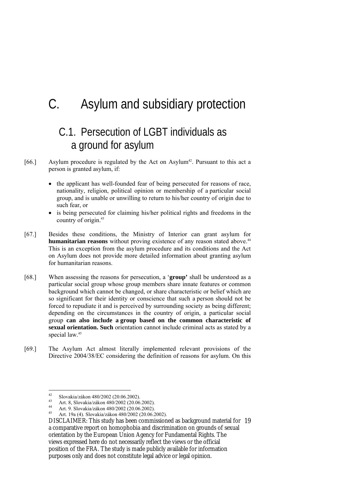# C. Asylum and subsidiary protection

### C.1. Persecution of LGBT individuals as a ground for asylum

- [66.] Asylum procedure is regulated by the Act on Asylum<sup>42</sup>. Pursuant to this act a person is granted asylum, if:
	- the applicant has well-founded fear of being persecuted for reasons of race, nationality, religion, political opinion or membership of a particular social group, and is unable or unwilling to return to his/her country of origin due to such fear, or
	- is being persecuted for claiming his/her political rights and freedoms in the country of origin.43
- [67.] Besides these conditions, the Ministry of Interior can grant asylum for **humanitarian reasons** without proving existence of any reason stated above.<sup>44</sup> This is an exception from the asylum procedure and its conditions and the Act on Asylum does not provide more detailed information about granting asylum for humanitarian reasons.
- [68.] When assessing the reasons for persecution, a '**group'** shall be understood as a particular social group whose group members share innate features or common background which cannot be changed, or share characteristic or belief which are so significant for their identity or conscience that such a person should not be forced to repudiate it and is perceived by surrounding society as being different; depending on the circumstances in the country of origin, a particular social group **can also include a group based on the common characteristic of sexual orientation. Such** orientation cannot include criminal acts as stated by a special law.<sup>45</sup>
- [69.] The Asylum Act almost literally implemented relevant provisions of the Directive 2004/38/EC considering the definition of reasons for asylum. On this

 $42$ <sup>42</sup> Slovakia/zákon 480/2002 (20.06.2002).

<sup>43</sup> Art. 8, Slovakia/zákon 480/2002 (20.06.2002).

<sup>44</sup> Art. 9. Slovakia/zákon 480/2002 (20.06.2002).

<sup>45</sup> Art. 19a (4). Slovakia/zákon 480/2002 (20.06.2002).

DISCLAIMER: This study has been commissioned as background material for 19 a comparative report on homophobia and discrimination on grounds of sexual orientation by the European Union Agency for Fundamental Rights. The views expressed here do not necessarily reflect the views or the official position of the FRA. The study is made publicly available for information purposes only and does not constitute legal advice or legal opinion.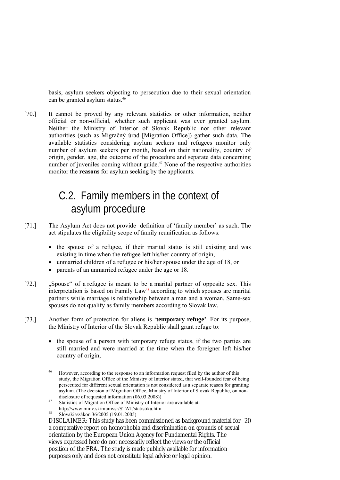basis, asylum seekers objecting to persecution due to their sexual orientation can be granted asylum status.<sup>46</sup>

[70.] It cannot be proved by any relevant statistics or other information, neither official or non-official, whether such applicant was ever granted asylum. Neither the Ministry of Interior of Slovak Republic nor other relevant authorities (such as Migračný úrad [Migration Office]) gather such data. The available statistics considering asylum seekers and refugees monitor only number of asylum seekers per month, based on their nationality, country of origin, gender, age, the outcome of the procedure and separate data concerning number of juveniles coming without guide.<sup>47</sup> None of the respective authorities monitor the **reasons** for asylum seeking by the applicants.

### C.2. Family members in the context of asylum procedure

- [71.] The Asylum Act does not provide definition of 'family member' as such. The act stipulates the eligibility scope of family reunification as follows:
	- the spouse of a refugee, if their marital status is still existing and was existing in time when the refugee left his/her country of origin,
	- unmarried children of a refugee or his/her spouse under the age of 18, or
	- parents of an unmarried refugee under the age or 18.
- [72.] "Spouse" of a refugee is meant to be a marital partner of opposite sex. This interpretation is based on Family Law<sup>48</sup> according to which spouses are marital partners while marriage is relationship between a man and a woman. Same-sex spouses do not qualify as family members according to Slovak law.
- [73.] Another form of protection for aliens is '**temporary refuge'**. For its purpose, the Ministry of Interior of the Slovak Republic shall grant refuge to:
	- the spouse of a person with temporary refuge status, if the two parties are still married and were married at the time when the foreigner left his/her country of origin,

 $46$ 46 However, according to the response to an information request filed by the author of this study, the Migration Office of the Ministry of Interior stated, that well-founded fear of being persecuted for different sexual orientation is not considered as a separate reason for granting asylum. (The decision of Migration Office, Ministry of Interior of Slovak Republic, on nondisclosure of requested information (06.03.2008))<br><sup>47</sup> Statistics of Migration Office of Ministry of Interior are available at:

http://www.minv.sk/mumvsr/STAT/statistika.htm 48 Slovakia/zákon 36/2005 (19.01.2005)

DISCLAIMER: This study has been commissioned as background material for 20 a comparative report on homophobia and discrimination on grounds of sexual orientation by the European Union Agency for Fundamental Rights. The views expressed here do not necessarily reflect the views or the official position of the FRA. The study is made publicly available for information purposes only and does not constitute legal advice or legal opinion.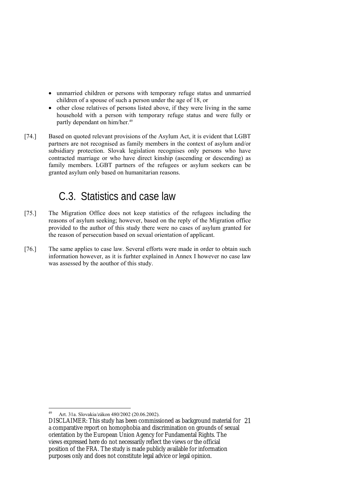- unmarried children or persons with temporary refuge status and unmarried children of a spouse of such a person under the age of 18, or
- other close relatives of persons listed above, if they were living in the same household with a person with temporary refuge status and were fully or partly dependant on him/her.<sup>49</sup>
- [74.] Based on quoted relevant provisions of the Asylum Act, it is evident that LGBT partners are not recognised as family members in the context of asylum and/or subsidiary protection. Slovak legislation recognises only persons who have contracted marriage or who have direct kinship (ascending or descending) as family members. LGBT partners of the refugees or asylum seekers can be granted asylum only based on humanitarian reasons.

### C.3. Statistics and case law

- [75.] The Migration Office does not keep statistics of the refugees including the reasons of asylum seeking; however, based on the reply of the Migration office provided to the author of this study there were no cases of asylum granted for the reason of persecution based on sexual orientation of applicant.
- [76.] The same applies to case law. Several efforts were made in order to obtain such information however, as it is furhter explained in Annex I however no case law was assessed by the aouthor of this study.

<sup>&</sup>lt;u>.</u> 49 Art. 31a. Slovakia/zákon 480/2002 (20.06.2002).

DISCLAIMER: This study has been commissioned as background material for 21 a comparative report on homophobia and discrimination on grounds of sexual orientation by the European Union Agency for Fundamental Rights. The views expressed here do not necessarily reflect the views or the official position of the FRA. The study is made publicly available for information purposes only and does not constitute legal advice or legal opinion.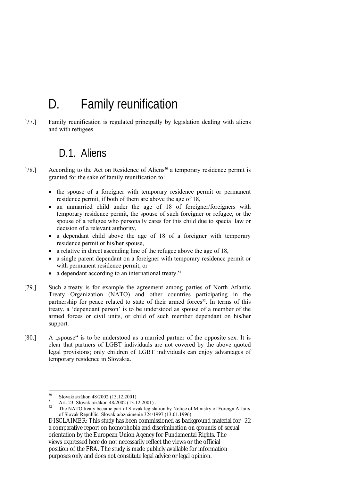# D. Family reunification

[77.] Family reunification is regulated principally by legislation dealing with aliens and with refugees.

#### D.1. Aliens

- [78.] According to the Act on Residence of Aliens<sup>50</sup> a temporary residence permit is granted for the sake of family reunification to:
	- the spouse of a foreigner with temporary residence permit or permanent residence permit, if both of them are above the age of 18,
	- an unmarried child under the age of 18 of foreigner/foreigners with temporary residence permit, the spouse of such foreigner or refugee, or the spouse of a refugee who personally cares for this child due to special law or decision of a relevant authority,
	- a dependant child above the age of 18 of a foreigner with temporary residence permit or his/her spouse,
	- a relative in direct ascending line of the refugee above the age of 18,
	- a single parent dependant on a foreigner with temporary residence permit or with permanent residence permit, or
	- a dependant according to an international treaty.<sup>51</sup>
- [79.] Such a treaty is for example the agreement among parties of North Atlantic Treaty Organization (NATO) and other countries participating in the partnership for peace related to state of their armed forces<sup>52</sup>. In terms of this treaty, a 'dependant person' is to be understood as spouse of a member of the armed forces or civil units, or child of such member dependant on his/her support.
- [80.] A ..spouse significant is to be understood as a married partner of the opposite sex. It is clear that partners of LGBT individuals are not covered by the above quoted legal provisions; only children of LGBT individuals can enjoy advantages of temporary residence in Slovakia.

<sup>50</sup>  $^{50}$  Slovakia/zákon 48/2002 (13.12.2001).

 $51$  Art. 23. Slovakia/zákon 48/2002 (13.12.2001) .

The NATO treaty became part of Slovak legislation by Notice of Ministry of Foreign Affairs of Slovak Republic. Slovakia/oznámenie 324/1997 (13.01.1996).

DISCLAIMER: This study has been commissioned as background material for 22 a comparative report on homophobia and discrimination on grounds of sexual orientation by the European Union Agency for Fundamental Rights. The views expressed here do not necessarily reflect the views or the official position of the FRA. The study is made publicly available for information purposes only and does not constitute legal advice or legal opinion.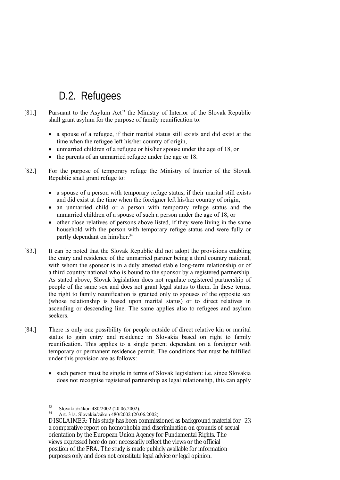### D.2. Refugees

- [81.] Pursuant to the Asylum Act<sup>53</sup> the Ministry of Interior of the Slovak Republic shall grant asylum for the purpose of family reunification to:
	- a spouse of a refugee, if their marital status still exists and did exist at the time when the refugee left his/her country of origin,
	- unmarried children of a refugee or his/her spouse under the age of 18, or
	- the parents of an unmarried refugee under the age or 18.
- [82.] For the purpose of temporary refuge the Ministry of Interior of the Slovak Republic shall grant refuge to:
	- a spouse of a person with temporary refuge status, if their marital still exists and did exist at the time when the foreigner left his/her country of origin,
	- an unmarried child or a person with temporary refuge status and the unmarried children of a spouse of such a person under the age of 18, or
	- other close relatives of persons above listed, if they were living in the same household with the person with temporary refuge status and were fully or partly dependant on him/her.<sup>54</sup>
- [83.] It can be noted that the Slovak Republic did not adopt the provisions enabling the entry and residence of the unmarried partner being a third country national, with whom the sponsor is in a duly attested stable long-term relationship or of a third country national who is bound to the sponsor by a registered partnership. As stated above, Slovak legislation does not regulate registered partnership of people of the same sex and does not grant legal status to them. In these terms, the right to family reunification is granted only to spouses of the opposite sex (whose relationship is based upon marital status) or to direct relatives in ascending or descending line. The same applies also to refugees and asylum seekers.
- [84.] There is only one possibility for people outside of direct relative kin or marital status to gain entry and residence in Slovakia based on right to family reunification. This applies to a single parent dependant on a foreigner with temporary or permanent residence permit. The conditions that must be fulfilled under this provision are as follows:
	- such person must be single in terms of Slovak legislation: i.e. since Slovakia does not recognise registered partnership as legal relationship, this can apply

 $53$  $^{53}$  Slovakia/zákon 480/2002 (20.06.2002).

Art. 31a. Slovakia/zákon 480/2002 (20.06.2002).

DISCLAIMER: This study has been commissioned as background material for 23 a comparative report on homophobia and discrimination on grounds of sexual orientation by the European Union Agency for Fundamental Rights. The views expressed here do not necessarily reflect the views or the official position of the FRA. The study is made publicly available for information purposes only and does not constitute legal advice or legal opinion.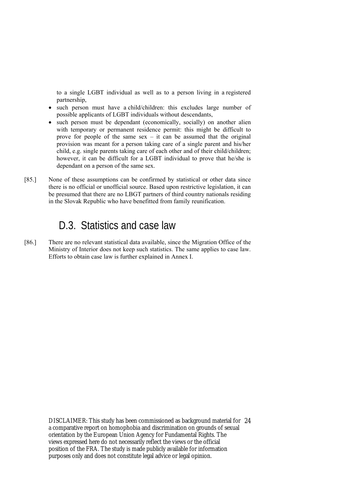to a single LGBT individual as well as to a person living in a registered partnership,

- such person must have a child/children: this excludes large number of possible applicants of LGBT individuals without descendants,
- such person must be dependant (economically, socially) on another alien with temporary or permanent residence permit: this might be difficult to prove for people of the same sex – it can be assumed that the original provision was meant for a person taking care of a single parent and his/her child, e.g. single parents taking care of each other and of their child/children; however, it can be difficult for a LGBT individual to prove that he/she is dependant on a person of the same sex.
- [85.] None of these assumptions can be confirmed by statistical or other data since there is no official or unofficial source. Based upon restrictive legislation, it can be presumed that there are no LBGT partners of third country nationals residing in the Slovak Republic who have benefitted from family reunification.

### D.3. Statistics and case law

[86.] There are no relevant statistical data available, since the Migration Office of the Ministry of Interior does not keep such statistics. The same applies to case law. Efforts to obtain case law is further explained in Annex I.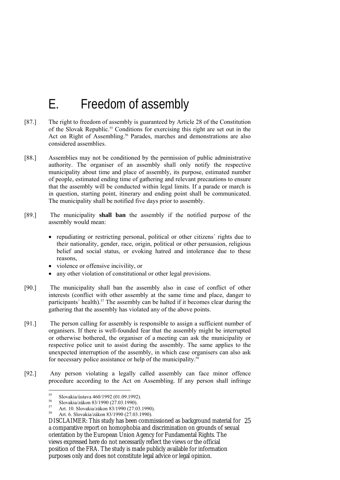# E. Freedom of assembly

- [87.] The right to freedom of assembly is guaranteed by Article 28 of the Constitution of the Slovak Republic.55 Conditions for exercising this right are set out in the Act on Right of Assembling.<sup>56</sup> Parades, marches and demonstrations are also considered assemblies.
- [88.] Assemblies may not be conditioned by the permission of public administrative authority. The organiser of an assembly shall only notify the respective municipality about time and place of assembly, its purpose, estimated number of people, estimated ending time of gathering and relevant precautions to ensure that the assembly will be conducted within legal limits. If a parade or march is in question, starting point, itinerary and ending point shall be communicated. The municipality shall be notified five days prior to assembly.
- [89.] The municipality **shall ban** the assembly if the notified purpose of the assembly would mean:
	- repudiating or restricting personal, political or other citizens' rights due to their nationality, gender, race, origin, political or other persuasion, religious belief and social status, or evoking hatred and intolerance due to these reasons,
	- violence or offensive incivility, or
	- any other violation of constitutional or other legal provisions.
- [90.] The municipality shall ban the assembly also in case of conflict of other interests (conflict with other assembly at the same time and place, danger to participants' health).<sup>57</sup> The assembly can be halted if it becomes clear during the gathering that the assembly has violated any of the above points.
- [91.] The person calling for assembly is responsible to assign a sufficient number of organisers. If there is well-founded fear that the assembly might be interrupted or otherwise bothered, the organiser of a meeting can ask the municipality or respective police unit to assist during the assembly. The same applies to the unexpected interruption of the assembly, in which case organisers can also ask for necessary police assistance or help of the municipality.<sup>58</sup>
- [92.] Any person violating a legally called assembly can face minor offence procedure according to the Act on Assembling. If any person shall infringe

 $55$  $^{55}$  Slovakia/ústava 460/1992 (01.09.1992).

<sup>&</sup>lt;sup>56</sup> Slovakia/zákon 83/1990 (27.03.1990).

 $57$  Art. 10. Slovakia/zákon 83/1990 (27.03.1990).

<sup>58</sup> Art. 6. Slovakia/zákon 83/1990 (27.03.1990).

DISCLAIMER: This study has been commissioned as background material for 25 a comparative report on homophobia and discrimination on grounds of sexual orientation by the European Union Agency for Fundamental Rights. The views expressed here do not necessarily reflect the views or the official position of the FRA. The study is made publicly available for information purposes only and does not constitute legal advice or legal opinion.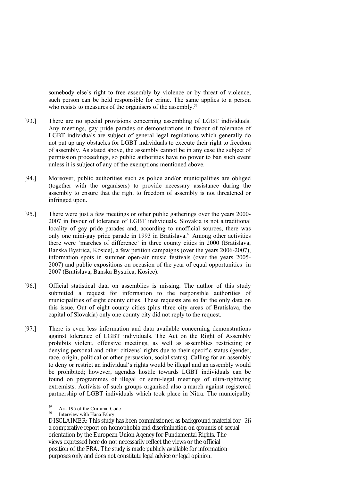somebody else's right to free assembly by violence or by threat of violence, such person can be held responsible for crime. The same applies to a person who resists to measures of the organisers of the assembly.<sup>59</sup>

- [93.] There are no special provisions concerning assembling of LGBT individuals. Any meetings, gay pride parades or demonstrations in favour of tolerance of LGBT individuals are subject of general legal regulations which generally do not put up any obstacles for LGBT individuals to execute their right to freedom of assembly. As stated above, the assembly cannot be in any case the subject of permission proceedings, so public authorities have no power to ban such event unless it is subject of any of the exemptions mentioned above.
- [94.] Moreover, public authorities such as police and/or municipalities are obliged (together with the organisers) to provide necessary assistance during the assembly to ensure that the right to freedom of assembly is not threatened or infringed upon.
- [95.] There were just a few meetings or other public gatherings over the years 2000- 2007 in favour of tolerance of LGBT individuals. Slovakia is not a traditional locality of gay pride parades and, according to unofficial sources, there was only one mini-gay pride parade in 1993 in Bratislava.<sup>60</sup> Among other activities there were 'marches of difference' in three county cities in 2000 (Bratislava, Banska Bystrica, Kosice), a few petition campaigns (over the years 2006-2007), information spots in summer open-air music festivals (over the years 2005- 2007) and public expositions on occasion of the year of equal opportunities in 2007 (Bratislava, Banska Bystrica, Kosice).
- [96.] Official statistical data on assemblies is missing. The author of this study submitted a request for information to the responsible authorities of municipalities of eight county cities. These requests are so far the only data on this issue. Out of eight county cities (plus three city areas of Bratislava, the capital of Slovakia) only one county city did not reply to the request.
- [97.] There is even less information and data available concerning demonstrations against tolerance of LGBT individuals. The Act on the Right of Assembly prohibits violent, offensive meetings, as well as assemblies restricting or denying personal and other citizens´ rights due to their specific status (gender, race, origin, political or other persuasion, social status). Calling for an assembly to deny or restrict an individual's rights would be illegal and an assembly would be prohibited; however, agendas hostile towards LGBT individuals can be found on programmes of illegal or semi-legal meetings of ultra-rightwing extremists. Activists of such groups organised also a march against registered partnership of LGBT individuals which took place in Nitra. The municipality

<u>.</u>

 $59$  Art. 195 of the Criminal Code

Interview with Hana Fabry.

DISCLAIMER: This study has been commissioned as background material for 26 a comparative report on homophobia and discrimination on grounds of sexual orientation by the European Union Agency for Fundamental Rights. The views expressed here do not necessarily reflect the views or the official position of the FRA. The study is made publicly available for information purposes only and does not constitute legal advice or legal opinion.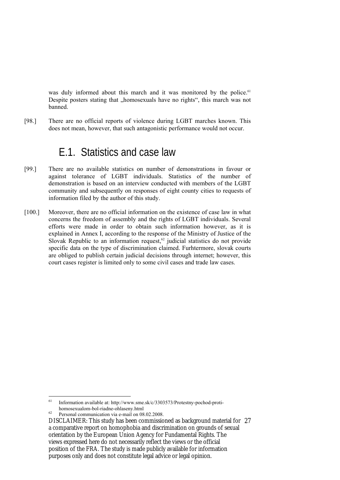was duly informed about this march and it was monitored by the police.<sup>61</sup> Despite posters stating that "homosexuals have no rights", this march was not banned.

[98.] There are no official reports of violence during LGBT marches known. This does not mean, however, that such antagonistic performance would not occur.

#### E.1. Statistics and case law

- [99.] There are no available statistics on number of demonstrations in favour or against tolerance of LGBT individuals. Statistics of the number of demonstration is based on an interview conducted with members of the LGBT community and subsequently on responses of eight county cities to requests of information filed by the author of this study.
- [100.] Moreover, there are no official information on the existence of case law in what concerns the freedom of assembly and the rights of LGBT individuals. Several efforts were made in order to obtain such information however, as it is explained in Annex I, according to the response of the Ministry of Justice of the Slovak Republic to an information request,<sup>62</sup> judicial statistics do not provide specific data on the type of discrimination claimed. Furhtermore, slovak courts are obliged to publish certain judicial decisions through internet; however, this court cases register is limited only to some civil cases and trade law cases.

<sup>61</sup> Information available at: http://www.sme.sk/c/3303573/Protestny-pochod-proti-<br>homosexualom-bol-riadne-ohlaseny.html

<sup>&</sup>lt;sup>62</sup> Personal communication via e-mail on 08.02.2008.

DISCLAIMER: This study has been commissioned as background material for 27 a comparative report on homophobia and discrimination on grounds of sexual orientation by the European Union Agency for Fundamental Rights. The views expressed here do not necessarily reflect the views or the official position of the FRA. The study is made publicly available for information purposes only and does not constitute legal advice or legal opinion.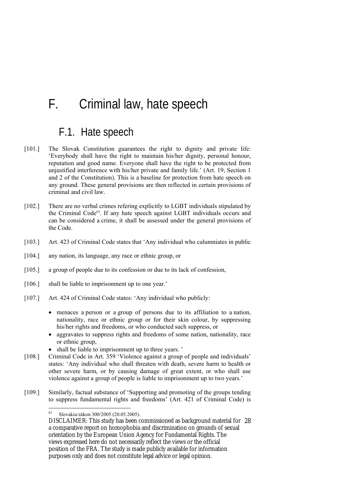# F. Criminal law, hate speech

#### F.1. Hate speech

- [101.] The Slovak Constitution guarantees the right to dignity and private life: 'Everybody shall have the right to maintain his/her dignity, personal honour, reputation and good name. Everyone shall have the right to be protected from unjustified interference with his/her private and family life.' (Art. 19, Section 1 and 2 of the Constitution). This is a baseline for protection from hate speech on any ground. These general provisions are then reflected in certain provisions of criminal and civil law.
- [102.] There are no verbal crimes refering explicitly to LGBT individuals stipulated by the Criminal Code<sup>63</sup>. If any hate speech against LGBT individuals occurs and can be considered a crime, it shall be assessed under the general provisions of the Code.
- [103.] Art. 423 of Criminal Code states that 'Any individual who calumniates in public
- [104.] any nation, its language, any race or ethnic group, or
- [105.] a group of people due to its confession or due to its lack of confession,
- [106.] shall be liable to imprisonment up to one year.'
- [107.] Art. 424 of Criminal Code states: 'Any individual who publicly:
	- menaces a person or a group of persons due to its affiliation to a nation, nationality, race or ethnic group or for their skin colour, by suppressing his/her rights and freedoms, or who conducted such suppress, or
	- aggravates to suppress rights and freedoms of some nation, nationality, race or ethnic group,
	- shall be liable to imprisonment up to three years. '
- [108.] Criminal Code in Art. 359 'Violence against a group of people and individuals' states: 'Any individual who shall threaten with death, severe harm to health or other severe harm, or by causing damage of great extent, or who shall use violence against a group of people is liable to imprisonment up to two years.'
- [109.] Similarly, factual substance of 'Supporting and promoting of the groups tending to suppress fundamental rights and freedoms' (Art. 421 of Criminal Code) is

<u>.</u>

<sup>63</sup> Slovakia/zákon 300/2005 (20.05.2005).

DISCLAIMER: This study has been commissioned as background material for 28 a comparative report on homophobia and discrimination on grounds of sexual orientation by the European Union Agency for Fundamental Rights. The views expressed here do not necessarily reflect the views or the official position of the FRA. The study is made publicly available for information purposes only and does not constitute legal advice or legal opinion.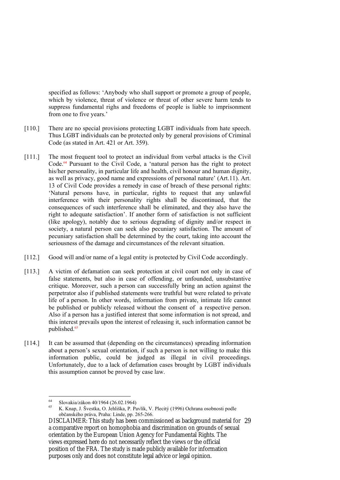specified as follows: 'Anybody who shall support or promote a group of people, which by violence, threat of violence or threat of other severe harm tends to suppress fundamental righs and freedoms of people is liable to imprisonment from one to five years.'

- [110.] There are no special provisions protecting LGBT individuals from hate speech. Thus LGBT individuals can be protected only by general provisions of Criminal Code (as stated in Art. 421 or Art. 359).
- [111.] The most frequent tool to protect an individual from verbal attacks is the Civil Code.<sup>64</sup> Pursuant to the Civil Code, a 'natural person has the right to protect his/her personality, in particular life and health, civil honour and human dignity, as well as privacy, good name and expressions of personal nature' (Art.11). Art. 13 of Civil Code provides a remedy in case of breach of these personal rights: 'Natural persons have, in particular, rights to request that any unlawful interference with their personality rights shall be discontinued, that the consequences of such interference shall be eliminated, and they also have the right to adequate satisfaction'. If another form of satisfaction is not sufficient (like apology), notably due to serious degrading of dignity and/or respect in society, a natural person can seek also pecuniary satisfaction. The amount of pecuniary satisfaction shall be determined by the court, taking into account the seriousness of the damage and circumstances of the relevant situation.
- [112.] Good will and/or name of a legal entity is protected by Civil Code accordingly.
- [113.] A victim of defamation can seek protection at civil court not only in case of false statements, but also in case of offending, or unfounded, unsubstantive critique. Moreover, such a person can successfully bring an action against the perpetrator also if published statements were truthful but were related to private life of a person. In other words, information from private, intimate life cannot be published or publicly released without the consent of a respective person. Also if a person has a justified interest that some information is not spread, and this interest prevails upon the interest of releasing it, such information cannot be published.<sup>65</sup>
- [114.] It can be assumed that (depending on the circumstances) spreading information about a person's sexual orientation, if such a person is not willing to make this information public, could be judged as illegal in civil proceedings. Unfortunately, due to a lack of defamation cases brought by LGBT individuals this assumption cannot be proved by case law.

<sup>64</sup> 64 Slovakia/zákon 40/1964 (26.02.1964)

<sup>65</sup> K. Knap, J. Švestka, O. Jehliška, P. Pavlík, V. Plecitý (1996) Ochrana osobnosti podle občanského práva, Praha: Linde, pp. 265-266.

DISCLAIMER: This study has been commissioned as background material for 29 a comparative report on homophobia and discrimination on grounds of sexual orientation by the European Union Agency for Fundamental Rights. The views expressed here do not necessarily reflect the views or the official position of the FRA. The study is made publicly available for information purposes only and does not constitute legal advice or legal opinion.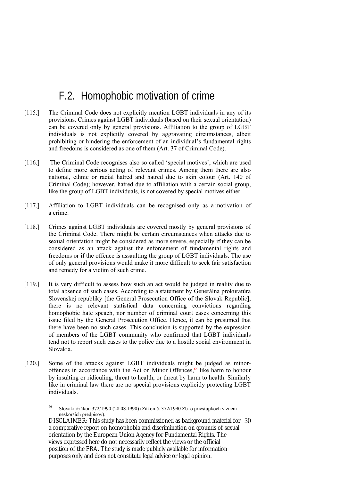### F.2. Homophobic motivation of crime

- [115.] The Criminal Code does not explicitly mention LGBT individuals in any of its provisions. Crimes against LGBT individuals (based on their sexual orientation) can be covered only by general provisions. Affiliation to the group of LGBT individuals is not explicitly covered by aggravating circumstances, albeit prohibiting or hindering the enforcement of an individual's fundamental rights and freedoms is considered as one of them (Art. 37 of Criminal Code).
- [116.] The Criminal Code recognises also so called 'special motives', which are used to define more serious acting of relevant crimes. Among them there are also national, ethnic or racial hatred and hatred due to skin colour (Art. 140 of Criminal Code); however, hatred due to affiliation with a certain social group, like the group of LGBT individuals, is not covered by special motives either.
- [117.] Affiliation to LGBT individuals can be recognised only as a motivation of a crime.
- [118.] Crimes against LGBT individuals are covered mostly by general provisions of the Criminal Code. There might be certain circumstances when attacks due to sexual orientation might be considered as more severe, especially if they can be considered as an attack against the enforcement of fundamental rights and freedoms or if the offence is assaulting the group of LGBT individuals. The use of only general provisions would make it more difficult to seek fair satisfaction and remedy for a victim of such crime.
- [119.] It is very difficult to assess how such an act would be judged in reality due to total absence of such cases. According to a statement by Generálna prokuratúra Slovenskej republiky [the General Prosecution Office of the Slovak Republic], there is no relevant statistical data concerning convictions regarding homophobic hate speach, nor number of criminal court cases concerning this issue filed by the General Prosecution Office. Hence, it can be presumed that there have been no such cases. This conclusion is supported by the expression of members of the LGBT community who confirmed that LGBT individuals tend not to report such cases to the police due to a hostile social environment in Slovakia.
- [120.] Some of the attacks against LGBT individuals might be judged as minoroffences in accordance with the Act on Minor Offences, $66$  like harm to honour by insulting or ridiculing, threat to health, or threat by harm to health. Similarly like in criminal law there are no special provisions explicitly protecting LGBT individuals.

<u>.</u>

<sup>66</sup> Slovakia/zákon 372/1990 (28.08.1990) (Zákon č. 372/1990 Zb. o priestupkoch v znení neskorších predpisov).

DISCLAIMER: This study has been commissioned as background material for 30 a comparative report on homophobia and discrimination on grounds of sexual orientation by the European Union Agency for Fundamental Rights. The views expressed here do not necessarily reflect the views or the official position of the FRA. The study is made publicly available for information purposes only and does not constitute legal advice or legal opinion.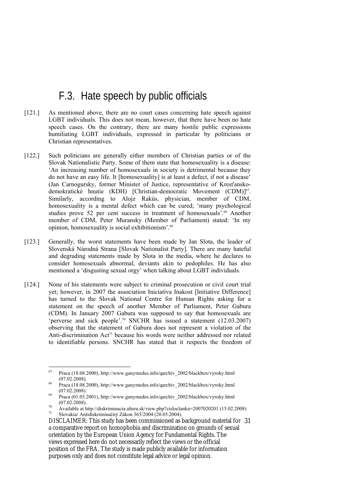### F.3. Hate speech by public officials

- [121.] As mentioned above, there are no court cases concerning hate speech against LGBT individuals. This does not mean, however, that there have been no hate speech cases. On the contrary, there are many hostile public expressions humiliating LGBT individuals, expressed in particular by politicians or Christian representatives.
- [122.] Such politicians are generally either members of Christian parties or of the Slovak Nationalistic Party. Some of them state that homosexuality is a disease: 'An increasing number of homosexuals in society is detrimental because they do not have an easy life. It [homosexuality] is at least a defect, if not a disease' (Jan Carnogursky, former Minister of Justice, representative of Kresťanskodemokratické hnutie (KDH) [Christian-democratic Movement (CDM)]<sup>67</sup>. Similarly, according to Alojz Rakús, physician, member of CDM, homosexuality is a mental defect which can be cured; 'many psychological studies prove 52 per cent success in treatment of homosexuals'.<sup>68</sup> Another member of CDM, Peter Muransky (Member of Parliament) stated: 'In my opinion, homosexuality is social exhibitionism'.69
- [123.] Generally, the worst statements have been made by Jan Slota, the leader of Slovenská Národná Strana [Slovak Nationalist Party]. There are many hateful and degrading statements made by Slota in the media, where he declares to consider homosexuals abnormal, deviants akin to pedophiles. He has also mentioned a 'disgusting sexual orgy' when talking about LGBT individuals.
- [124.] None of his statements were subject to criminal prosecution or civil court trial yet; however, in 2007 the association Iniciatíva Inakost [Initiative Difference] has turned to the Slovak National Centre for Human Rights asking for a statement on the speech of another Member of Parliament, Peter Gabura (CDM). In January 2007 Gabura was supposed to say that homosexuals are 'perverse and sick people'.70 SNCHR has issued a statement (12.03.2007) observing that the statement of Gabura does not represent a violation of the Anti-discrimination  $Act^{71}$  because his words were neither addressed nor related to identifiable persons. SNCHR has stated that it respects the freedom of

<sup>67</sup> 67 Praca (18.08.2000), http://www.ganymedes.info/qarchiv\_2002/blackbox/vyroky.html (07.02.2008). (68 (07.02.2008). http://www.ganymedes.info/qarchiv 2002/blackbox/vyroky.html

 $(07.02.2008)$ .<br><sup>69</sup> Praca (01.03.2001), http://www.ganymedes.info/qarchiv\_2002/blackbox/vyroky.html

<sup>(07.02.2008). 70</sup> Available at http://diskriminacia.altera.sk/view.php?cisloclanku=2007020201 (15.02.2008) 71 Slovakia/ Antidiskriminačný Zákon 365/2004 (20.05.2004).

DISCLAIMER: This study has been commissioned as background material for 31 a comparative report on homophobia and discrimination on grounds of sexual orientation by the European Union Agency for Fundamental Rights. The views expressed here do not necessarily reflect the views or the official position of the FRA. The study is made publicly available for information purposes only and does not constitute legal advice or legal opinion.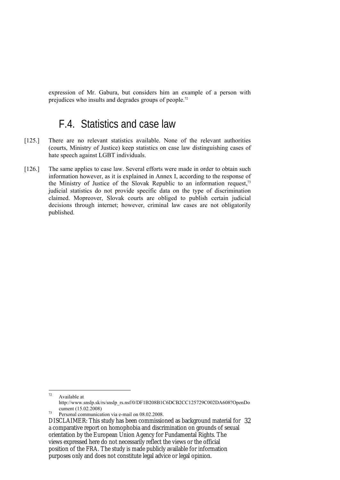expression of Mr. Gabura, but considers him an example of a person with prejudices who insults and degrades groups of people.72

#### F.4. Statistics and case law

- [125.] There are no relevant statistics available. None of the relevant authorities (courts, Ministry of Justice) keep statistics on case law distinguishing cases of hate speech against LGBT individuals.
- [126.] The same applies to case law. Several efforts were made in order to obtain such information however, as it is explained in Annex I, according to the response of the Ministry of Justice of the Slovak Republic to an information request,<sup>73</sup> judicial statistics do not provide specific data on the type of discrimination claimed. Mopreover, Slovak courts are obliged to publish certain judicial decisions through internet; however, criminal law cases are not obligatorily published.

<sup>72</sup> Available at http://www.snslp.sk/rs/snslp\_rs.nsf/0/DF1B208B1C6DCB2CC125729C002DA608?OpenDo

 $\frac{12.026 \times 10^{13} \text{J}}{2008 \times 10^{13} \text{J}}$  Personal communication via e-mail on 08.02.2008.

DISCLAIMER: This study has been commissioned as background material for 32 a comparative report on homophobia and discrimination on grounds of sexual orientation by the European Union Agency for Fundamental Rights. The views expressed here do not necessarily reflect the views or the official position of the FRA. The study is made publicly available for information purposes only and does not constitute legal advice or legal opinion.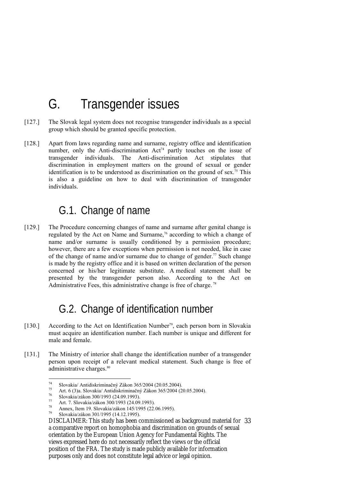# G. Transgender issues

- [127.] The Slovak legal system does not recognise transgender individuals as a special group which should be granted specific protection.
- [128.] Apart from laws regarding name and surname, registry office and identification number, only the Anti-discrimination Act<sup>74</sup> partly touches on the issue of transgender individuals. The Anti-discrimination Act stipulates that discrimination in employment matters on the ground of sexual or gender identification is to be understood as discrimination on the ground of sex.<sup>75</sup> This is also a guideline on how to deal with discrimination of transgender individuals.

### G.1. Change of name

[129.] The Procedure concerning changes of name and surname after genital change is regulated by the Act on Name and Surname,<sup>76</sup> according to which a change of name and/or surname is usually conditioned by a permission procedure; however, there are a few exceptions when permission is not needed, like in case of the change of name and/or surname due to change of gender.<sup>77</sup> Such change is made by the registry office and it is based on written declaration of the person concerned or his/her legitimate substitute. A medical statement shall be presented by the transgender person also. According to the Act on Administrative Fees, this administrative change is free of charge. 78

### G.2. Change of identification number

- [130.] According to the Act on Identification Number<sup>79</sup>, each person born in Slovakia must acquire an identification number. Each number is unique and different for male and female.
- [131.] The Ministry of interior shall change the identification number of a transgender person upon receipt of a relevant medical statement. Such change is free of administrative charges.<sup>80</sup>

 $74$ 

<sup>&</sup>lt;sup>74</sup> Slovakia/ Antidiskriminačný Zákon 365/2004 (20.05.2004).<br>
<sup>75</sup> Art. 6 (3)a. Slovakia/ Antidiskriminačný Zákon 365/2004 (20.05.2004).<br>
<sup>76</sup> Slovakia/zákon 300/1993 (24.09.1993).

 $^{77}$  Art. 7. Slovakia/zákon 300/1993 (24.09.1993).

<sup>&</sup>lt;sup>78</sup> Annex, Item 19. Slovakia/zákon 145/1995 (22.06.1995).<br><sup>79</sup> Slovakia/zákon 301/1995 (14.12.1995).

DISCLAIMER: This study has been commissioned as background material for 33 a comparative report on homophobia and discrimination on grounds of sexual orientation by the European Union Agency for Fundamental Rights. The views expressed here do not necessarily reflect the views or the official position of the FRA. The study is made publicly available for information purposes only and does not constitute legal advice or legal opinion.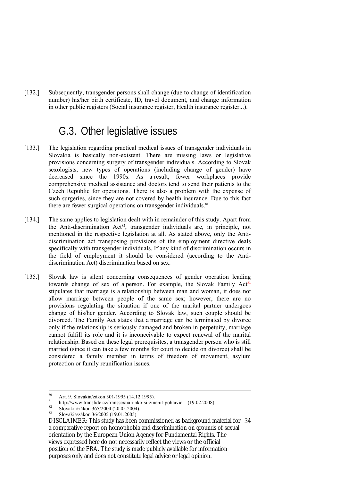[132.] Subsequently, transgender persons shall change (due to change of identification number) his/her birth certificate, ID, travel document, and change information in other public registers (Social insurance register, Health insurance register...).

#### G.3. Other legislative issues

- [133.] The legislation regarding practical medical issues of transgender individuals in Slovakia is basically non-existent. There are missing laws or legislative provisions concerning surgery of transgender individuals. According to Slovak sexologists, new types of operations (including change of gender) have decreased since the 1990s. As a result, fewer workplaces provide comprehensive medical assistance and doctors tend to send their patients to the Czech Republic for operations. There is also a problem with the expense of such surgeries, since they are not covered by health insurance. Due to this fact there are fewer surgical operations on transgender individuals.<sup>81</sup>
- [134.] The same applies to legislation dealt with in remainder of this study. Apart from the Anti-discrimination  $Act^{82}$ , transgender individuals are, in principle, not mentioned in the respective legislation at all. As stated above, only the Antidiscrimination act transposing provisions of the employment directive deals specifically with transgender individuals. If any kind of discrimination occurs in the field of employment it should be considered (according to the Antidiscrimination Act) discrimination based on sex.
- [135.] Slovak law is silent concerning consequences of gender operation leading towards change of sex of a person. For example, the Slovak Family Act<sup>83</sup> stipulates that marriage is a relationship between man and woman, it does not allow marriage between people of the same sex; however, there are no provisions regulating the situation if one of the marital partner undergoes change of his/her gender. According to Slovak law, such couple should be divorced. The Family Act states that a marriage can be terminated by divorce only if the relationship is seriously damaged and broken in perpetuity, marriage cannot fulfill its role and it is inconceivable to expect renewal of the marital relationship. Based on these legal prerequisites, a transgender person who is still married (since it can take a few months for court to decide on divorce) shall be considered a family member in terms of freedom of movement, asylum protection or family reunification issues.

<sup>80</sup> 80 Art. 9. Slovakia/zákon 301/1995 (14.12.1995).

<sup>&</sup>lt;sup>81</sup> http://www.translide.cz/transsexuali-ako-si-zmenit-pohlavie (19.02.2008).<br>
Slovakia/zákon 365/2004 (20.05.2004).<br>
<sup>83</sup> Slovakia/zákon 365/2006 (10.01.2005).

<sup>83</sup> Slovakia/zákon 36/2005 (19.01.2005)

DISCLAIMER: This study has been commissioned as background material for 34 a comparative report on homophobia and discrimination on grounds of sexual orientation by the European Union Agency for Fundamental Rights. The views expressed here do not necessarily reflect the views or the official position of the FRA. The study is made publicly available for information purposes only and does not constitute legal advice or legal opinion.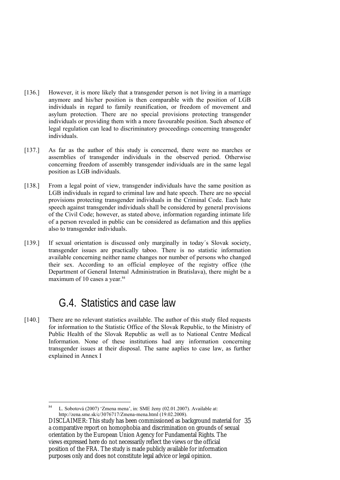- [136.] However, it is more likely that a transgender person is not living in a marriage anymore and his/her position is then comparable with the position of LGB individuals in regard to family reunification, or freedom of movement and asylum protection. There are no special provisions protecting transgender individuals or providing them with a more favourable position. Such absence of legal regulation can lead to discriminatory proceedings concerning transgender individuals.
- [137.] As far as the author of this study is concerned, there were no marches or assemblies of transgender individuals in the observed period. Otherwise concerning freedom of assembly transgender individuals are in the same legal position as LGB individuals.
- [138.] From a legal point of view, transgender individuals have the same position as LGB individuals in regard to criminal law and hate speech. There are no special provisions protecting transgender individuals in the Criminal Code. Each hate speech against transgender individuals shall be considered by general provisions of the Civil Code; however, as stated above, information regarding intimate life of a person revealed in public can be considered as defamation and this applies also to transgender individuals.
- [139.] If sexual orientation is discussed only marginally in today´s Slovak society, transgender issues are practically taboo. There is no statistic information available concerning neither name changes nor number of persons who changed their sex. According to an official employee of the registry office (the Department of General Internal Administration in Bratislava), there might be a maximum of 10 cases a year.<sup>84</sup>

### G.4. Statistics and case law

[140.] There are no relevant statistics available. The author of this study filed requests for information to the Statistic Office of the Slovak Republic, to the Ministry of Public Health of the Slovak Republic as well as to National Centre Medical Information. None of these institutions had any information concerning transgender issues at their disposal. The same aaplies to case law, as further explained in Annex I

<sup>&</sup>lt;u>.</u> 84 L. Sobotová (2007) 'Zmena mena', in: SME ženy (02.01.2007). Available at: http://zena.sme.sk/c/3076717/Zmena-mena.html (19.02.2008).

DISCLAIMER: This study has been commissioned as background material for 35 a comparative report on homophobia and discrimination on grounds of sexual orientation by the European Union Agency for Fundamental Rights. The views expressed here do not necessarily reflect the views or the official position of the FRA. The study is made publicly available for information purposes only and does not constitute legal advice or legal opinion.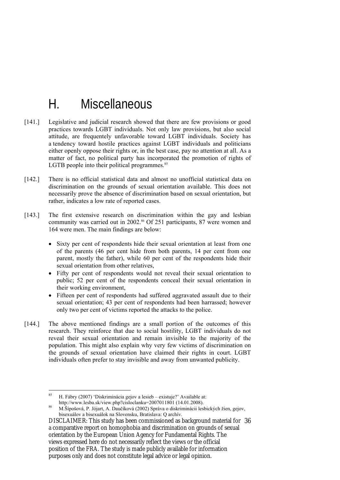# H. Miscellaneous

- [141.] Legislative and judicial research showed that there are few provisions or good practices towards LGBT individuals. Not only law provisions, but also social attitude, are frequentely unfavorable toward LGBT individuals. Society has a tendency toward hostile practices against LGBT individuals and politicians either openly oppose their rights or, in the best case, pay no attention at all. As a matter of fact, no political party has incorporated the promotion of rights of LGTB people into their political programmes. $85$
- [142.] There is no official statistical data and almost no unofficial statistical data on discrimination on the grounds of sexual orientation available. This does not necessarily prove the absence of discrimination based on sexual orientation, but rather, indicates a low rate of reported cases.
- [143.] The first extensive research on discrimination within the gay and lesbian community was carried out in 2002.<sup>86</sup> Of 251 participants, 87 were women and 164 were men. The main findings are below:
	- Sixty per cent of respondents hide their sexual orientation at least from one of the parents (46 per cent hide from both parents, 14 per cent from one parent, mostly the father), while 60 per cent of the respondents hide their sexual orientation from other relatives,
	- Fifty per cent of respondents would not reveal their sexual orientation to public; 52 per cent of the respondents conceal their sexual orientation in their working environment,
	- Fifteen per cent of respondents had suffered aggravated assault due to their sexual orientation; 43 per cent of respondents had been harrassed; however only two per cent of victims reported the attacks to the police.
- [144.] The above mentioned findings are a small portion of the outcomes of this research. They reinforce that due to social hostility, LGBT individuals do not reveal their sexual orientation and remain invisible to the majority of the population. This might also explain why very few victims of discrimination on the grounds of sexual orientation have claimed their rights in court. LGBT individuals often prefer to stay invisible and away from unwanted publicity.

<sup>85</sup> 85 H. Fábry (2007) 'Diskriminácia gejov a lesieb – existuje?' Available at:

M.Šípošová, P. Jójart, A. Daučíková (2002) Správa o diskriminácii lesbických žien, gejov, bisexuálov a bisexuálok na Slovensku, Bratislava: Q archív.

DISCLAIMER: This study has been commissioned as background material for 36 a comparative report on homophobia and discrimination on grounds of sexual orientation by the European Union Agency for Fundamental Rights. The views expressed here do not necessarily reflect the views or the official position of the FRA. The study is made publicly available for information purposes only and does not constitute legal advice or legal opinion.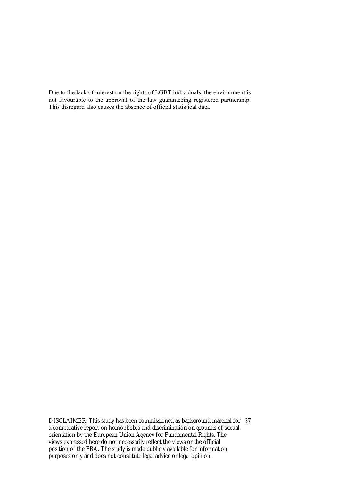Due to the lack of interest on the rights of LGBT individuals, the environment is not favourable to the approval of the law guaranteeing registered partnership. This disregard also causes the absence of official statistical data.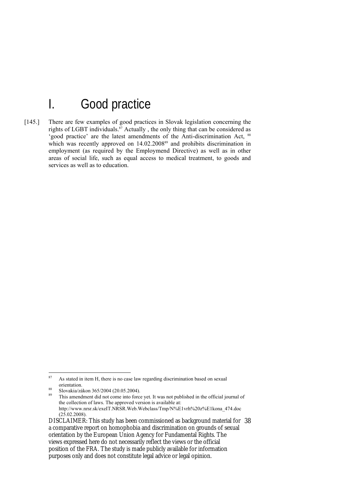## I. Good practice

[145.] There are few examples of good practices in Slovak legislation concerning the rights of LGBT individuals.<sup>87</sup> Actually, the only thing that can be considered as 'good practice' are the latest amendments of the Anti-discrimination Act, 88 which was recently approved on 14.02.2008<sup>89</sup> and prohibits discrimination in employment (as required by the Employmend Directive) as well as in other areas of social life, such as equal access to medical treatment, to goods and services as well as to education.

 $87$ As stated in item H, there is no case law regarding discrimination based on sexual orientation.

 $\frac{88}{20}$  Slovakia/zákon 365/2004 (20.05.2004).

This amendment did not come into force yet. It was not published in the official journal of the collection of laws. The approved version is available at: http://www.nrsr.sk/exeIT.NRSR.Web.Webclass/Tmp/N%E1vrh%20z%E1kona\_474.doc  $(25.02.2008).$ 

DISCLAIMER: This study has been commissioned as background material for 38 a comparative report on homophobia and discrimination on grounds of sexual orientation by the European Union Agency for Fundamental Rights. The views expressed here do not necessarily reflect the views or the official position of the FRA. The study is made publicly available for information purposes only and does not constitute legal advice or legal opinion.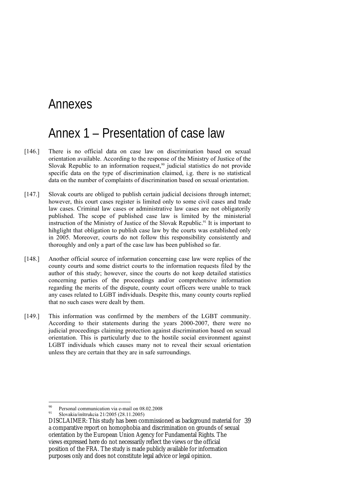### Annexes

## Annex 1 – Presentation of case law

- [146.] There is no official data on case law on discrimination based on sexual orientation available. According to the response of the Ministry of Justice of the Slovak Republic to an information request, $90$  judicial statistics do not provide specific data on the type of discrimination claimed, i.g. there is no statistical data on the number of complaints of discrimination based on sexual orientation.
- [147.] Slovak courts are obliged to publish certain judicial decisions through internet; however, this court cases register is limited only to some civil cases and trade law cases. Criminal law cases or administrative law cases are not obligatorily published. The scope of published case law is limited by the ministerial instruction of the Ministry of Justice of the Slovak Republic.<sup>91</sup> It is important to hihglight that obligation to publish case law by the courts was established only in 2005. Moreover, courts do not follow this responsibility consistently and thoroughly and only a part of the case law has been published so far.
- [148.] Another official source of information concerning case law were replies of the county courts and some district courts to the information requests filed by the author of this study; however, since the courts do not keep detailed statistics concerning parties of the proceedings and/or comprehensive information regarding the merits of the dispute, county court officers were unable to track any cases related to LGBT individuals. Despite this, many county courts replied that no such cases were dealt by them.
- [149.] This information was confirmed by the members of the LGBT community. According to their statements during the years 2000-2007, there were no judicial proceedings claiming protection against discrimination based on sexual orientation. This is particularly due to the hostile social environment against LGBT individuals which causes many not to reveal their sexual orientation unless they are certain that they are in safe surroundings.

<u>.</u>

<sup>&</sup>lt;sup>90</sup><br>Personal communication via e-mail on  $08.02.2008$ <br> $\frac{91}{21}$  Slavelia (in *t*erminic 21/2005/2004)

<sup>91</sup> Slovakia/inštrukcia 21/2005 (28.11.2005)

DISCLAIMER: This study has been commissioned as background material for 39 a comparative report on homophobia and discrimination on grounds of sexual orientation by the European Union Agency for Fundamental Rights. The views expressed here do not necessarily reflect the views or the official position of the FRA. The study is made publicly available for information purposes only and does not constitute legal advice or legal opinion.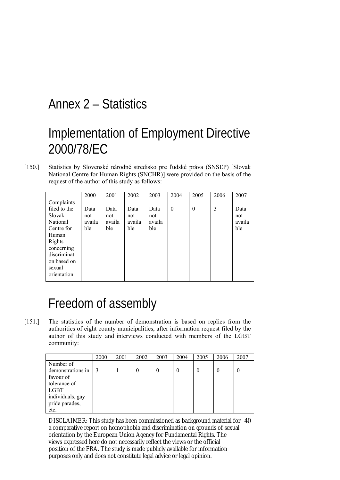## Annex 2 – Statistics

# Implementation of Employment Directive 2000/78/EC

[150.] Statistics by Slovenské národné stredisko pre ľudské práva (SNSĽP) [Slovak National Centre for Human Rights (SNCHR)] were provided on the basis of the request of the author of this study as follows:

|              | 2000   | 2001   | 2002   | 2003   | 2004     | 2005     | 2006 | 2007   |
|--------------|--------|--------|--------|--------|----------|----------|------|--------|
| Complaints   |        |        |        |        |          |          |      |        |
| filed to the | Data   | Data   | Data   | Data   | $\theta$ | $\theta$ | 3    | Data   |
| Slovak       | not    | not    | not    | not    |          |          |      | not    |
| National     | availa | availa | availa | availa |          |          |      | availa |
| Centre for   | ble    | ble    | ble    | ble    |          |          |      | ble    |
| Human        |        |        |        |        |          |          |      |        |
| Rights       |        |        |        |        |          |          |      |        |
| concerning   |        |        |        |        |          |          |      |        |
| discriminati |        |        |        |        |          |          |      |        |
| on based on  |        |        |        |        |          |          |      |        |
| sexual       |        |        |        |        |          |          |      |        |
| orientation  |        |        |        |        |          |          |      |        |
|              |        |        |        |        |          |          |      |        |

# Freedom of assembly

[151.] The statistics of the number of demonstration is based on replies from the authorities of eight county municipalities, after information request filed by the author of this study and interviews conducted with members of the LGBT community:

|                   | 2000 | 2001 | 2002     | 2003     | 2004     | 2005 | 2006     | 2007 |
|-------------------|------|------|----------|----------|----------|------|----------|------|
| Number of         |      |      |          |          |          |      |          |      |
| demonstrations in |      |      | $\theta$ | $\theta$ | $\theta$ | 0    | $\theta$ | 0    |
| favour of         |      |      |          |          |          |      |          |      |
| tolerance of      |      |      |          |          |          |      |          |      |
| <b>LGBT</b>       |      |      |          |          |          |      |          |      |
| individuals, gay  |      |      |          |          |          |      |          |      |
| pride parades,    |      |      |          |          |          |      |          |      |
| etc.              |      |      |          |          |          |      |          |      |